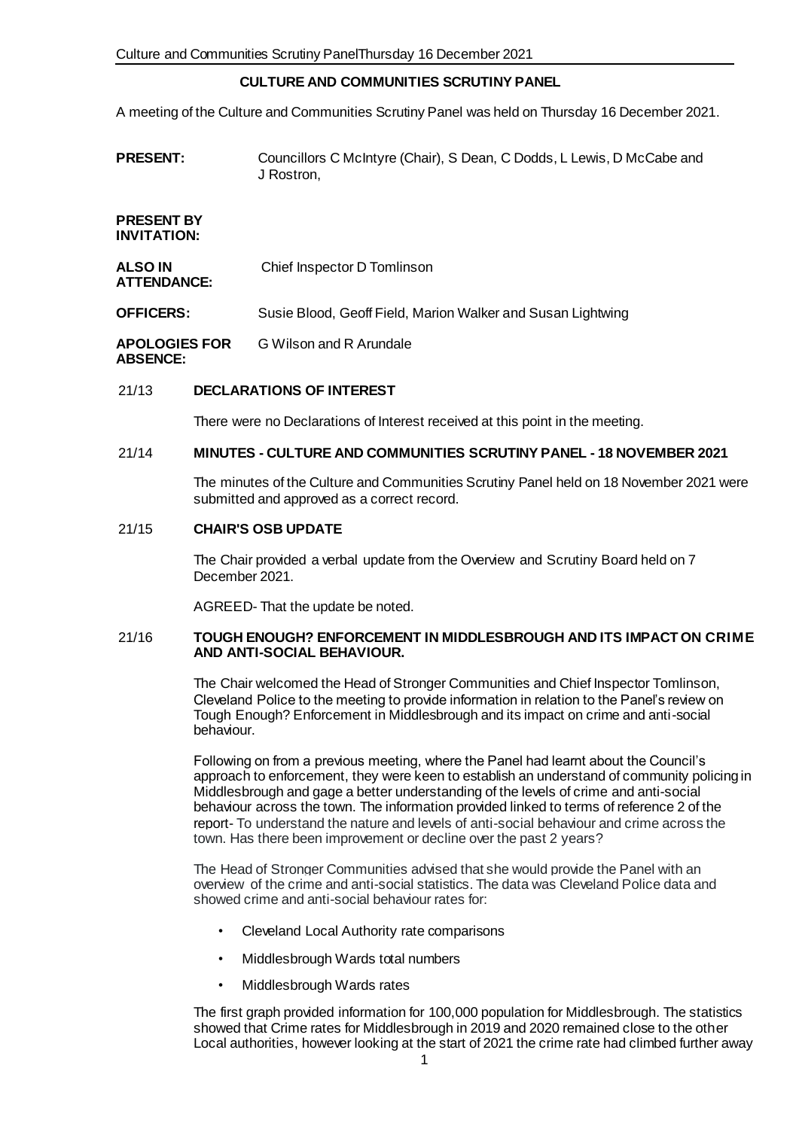# **CULTURE AND COMMUNITIES SCRUTINY PANEL**

A meeting of the Culture and Communities Scrutiny Panel was held on Thursday 16 December 2021.

**PRESENT:** Councillors C McIntyre (Chair), S Dean, C Dodds, L Lewis, D McCabe and J Rostron,

**PRESENT BY INVITATION:**

**ATTENDANCE:**

**ALSO IN**  Chief Inspector D Tomlinson

**OFFICERS:** Susie Blood, Geoff Field, Marion Walker and Susan Lightwing

**APOLOGIES FOR ABSENCE:** G Wilson and R Arundale

## 21/13 **DECLARATIONS OF INTEREST**

There were no Declarations of Interest received at this point in the meeting.

## 21/14 **MINUTES - CULTURE AND COMMUNITIES SCRUTINY PANEL - 18 NOVEMBER 2021**

The minutes of the Culture and Communities Scrutiny Panel held on 18 November 2021 were submitted and approved as a correct record.

## 21/15 **CHAIR'S OSB UPDATE**

The Chair provided a verbal update from the Overview and Scrutiny Board held on 7 December 2021.

AGREED- That the update be noted.

### 21/16 **TOUGH ENOUGH? ENFORCEMENT IN MIDDLESBROUGH AND ITS IMPACT ON CRIME AND ANTI-SOCIAL BEHAVIOUR.**

The Chair welcomed the Head of Stronger Communities and Chief Inspector Tomlinson, Cleveland Police to the meeting to provide information in relation to the Panel's review on Tough Enough? Enforcement in Middlesbrough and its impact on crime and anti-social behaviour.

Following on from a previous meeting, where the Panel had learnt about the Council's approach to enforcement, they were keen to establish an understand of community policing in Middlesbrough and gage a better understanding of the levels of crime and anti-social behaviour across the town. The information provided linked to terms of reference 2 of the report- To understand the nature and levels of anti-social behaviour and crime across the town. Has there been improvement or decline over the past 2 years?

The Head of Stronger Communities advised that she would provide the Panel with an overview of the crime and anti-social statistics. The data was Cleveland Police data and showed crime and anti-social behaviour rates for:

- Cleveland Local Authority rate comparisons
- Middlesbrough Wards total numbers
- Middlesbrough Wards rates

The first graph provided information for 100,000 population for Middlesbrough. The statistics showed that Crime rates for Middlesbrough in 2019 and 2020 remained close to the other Local authorities, however looking at the start of 2021 the crime rate had climbed further away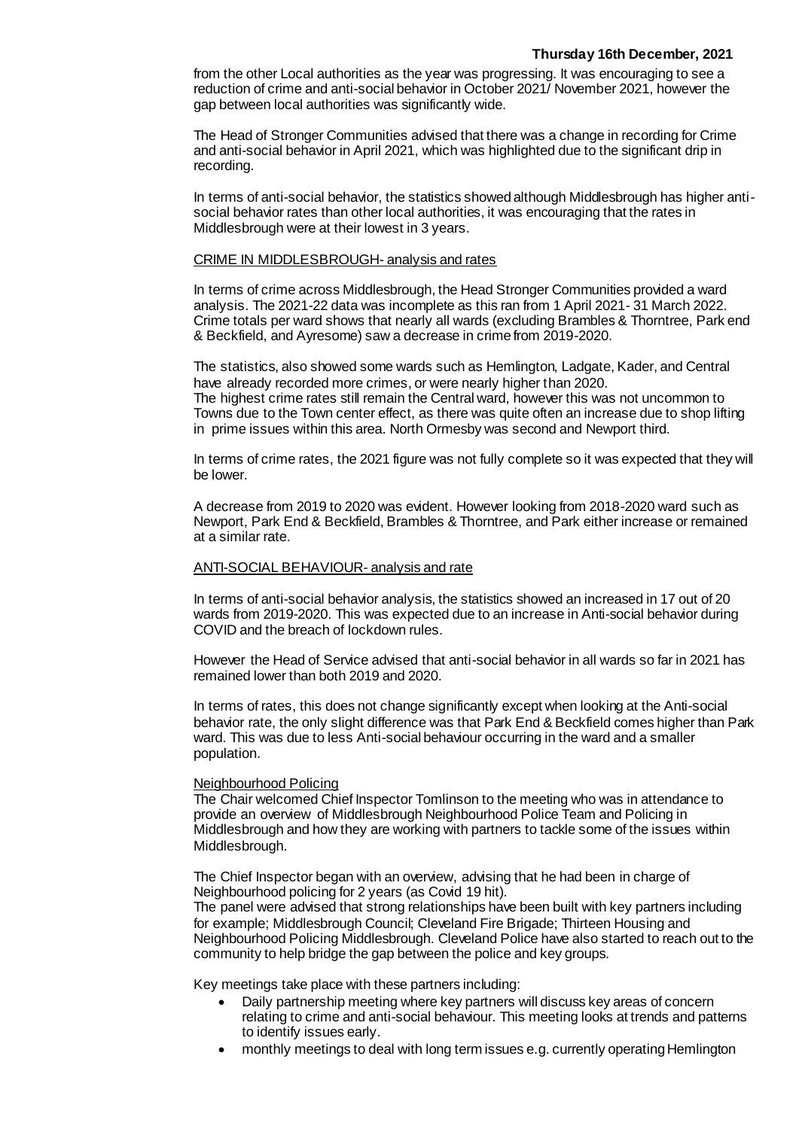from the other Local authorities as the year was progressing. It was encouraging to see a reduction of crime and anti-social behavior in October 2021/ November 2021, however the gap between local authorities was significantly wide.

The Head of Stronger Communities advised that there was a change in recording for Crime and anti-social behavior in April 2021, which was highlighted due to the significant drip in recording.

In terms of anti-social behavior, the statistics showed although Middlesbrough has higher antisocial behavior rates than other local authorities, it was encouraging that the rates in Middlesbrough were at their lowest in 3 years.

#### CRIME IN MIDDLESBROUGH- analysis and rates

In terms of crime across Middlesbrough, the Head Stronger Communities provided a ward analysis. The 2021-22 data was incomplete as this ran from 1 April 2021- 31 March 2022. Crime totals per ward shows that nearly all wards (excluding Brambles & Thorntree, Park end & Beckfield, and Ayresome) saw a decrease in crime from 2019-2020.

The statistics, also showed some wards such as Hemlington, Ladgate, Kader, and Central have already recorded more crimes, or were nearly higher than 2020. The highest crime rates still remain the Central ward, however this was not uncommon to Towns due to the Town center effect, as there was quite often an increase due to shop lifting in prime issues within this area. North Ormesby was second and Newport third.

In terms of crime rates, the 2021 figure was not fully complete so it was expected that they will be lower.

A decrease from 2019 to 2020 was evident. However looking from 2018-2020 ward such as Newport, Park End & Beckfield, Brambles & Thorntree, and Park either increase or remained at a similar rate.

#### ANTI-SOCIAL BEHAVIOUR- analysis and rate

In terms of anti-social behavior analysis, the statistics showed an increased in 17 out of 20 wards from 2019-2020. This was expected due to an increase in Anti-social behavior during COVID and the breach of lockdown rules.

However the Head of Service advised that anti-social behavior in all wards so far in 2021 has remained lower than both 2019 and 2020.

In terms of rates, this does not change significantly except when looking at the Anti-social behavior rate, the only slight difference was that Park End & Beckfield comes higher than Park ward. This was due to less Anti-social behaviour occurring in the ward and a smaller population.

### Neighbourhood Policing

The Chair welcomed Chief Inspector Tomlinson to the meeting who was in attendance to provide an overview of Middlesbrough Neighbourhood Police Team and Policing in Middlesbrough and how they are working with partners to tackle some of the issues within Middlesbrough.

The Chief Inspector began with an overview, advising that he had been in charge of Neighbourhood policing for 2 years (as Covid 19 hit).

The panel were advised that strong relationships have been built with key partners including for example; Middlesbrough Council; Cleveland Fire Brigade; Thirteen Housing and Neighbourhood Policing Middlesbrough. Cleveland Police have also started to reach out to the community to help bridge the gap between the police and key groups.

Key meetings take place with these partners including:

- Daily partnership meeting where key partners will discuss key areas of concern relating to crime and anti-social behaviour. This meeting looks at trends and patterns to identify issues early.
- monthly meetings to deal with long term issues e.g. currently operating Hemlington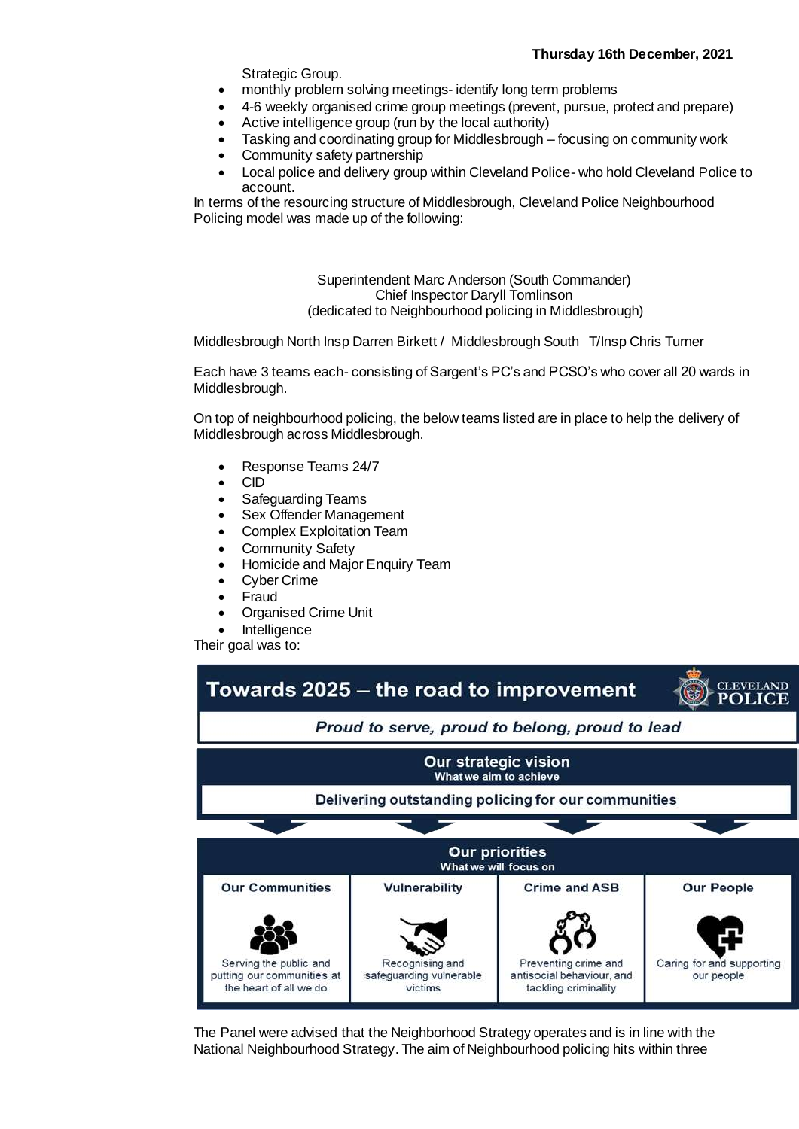Strategic Group.

- monthly problem solving meetings- identify long term problems
- 4-6 weekly organised crime group meetings (prevent, pursue, protect and prepare)
	- Active intelligence group (run by the local authority)
- Tasking and coordinating group for Middlesbrough focusing on community work
- Community safety partnership
- Local police and delivery group within Cleveland Police- who hold Cleveland Police to account.

In terms of the resourcing structure of Middlesbrough, Cleveland Police Neighbourhood Policing model was made up of the following:

> Superintendent Marc Anderson (South Commander) Chief Inspector Daryll Tomlinson (dedicated to Neighbourhood policing in Middlesbrough)

Middlesbrough North Insp Darren Birkett / Middlesbrough South T/Insp Chris Turner

Each have 3 teams each- consisting of Sargent's PC's and PCSO's who cover all 20 wards in Middlesbrough.

On top of neighbourhood policing, the below teams listed are in place to help the delivery of Middlesbrough across Middlesbrough.

- Response Teams 24/7
- CID
- Safeguarding Teams
- Sex Offender Management
- Complex Exploitation Team
- Community Safety
- Homicide and Major Enquiry Team
- Cyber Crime
- Fraud
- Organised Crime Unit
- Intelligence

Their goal was to:



The Panel were advised that the Neighborhood Strategy operates and is in line with the National Neighbourhood Strategy. The aim of Neighbourhood policing hits within three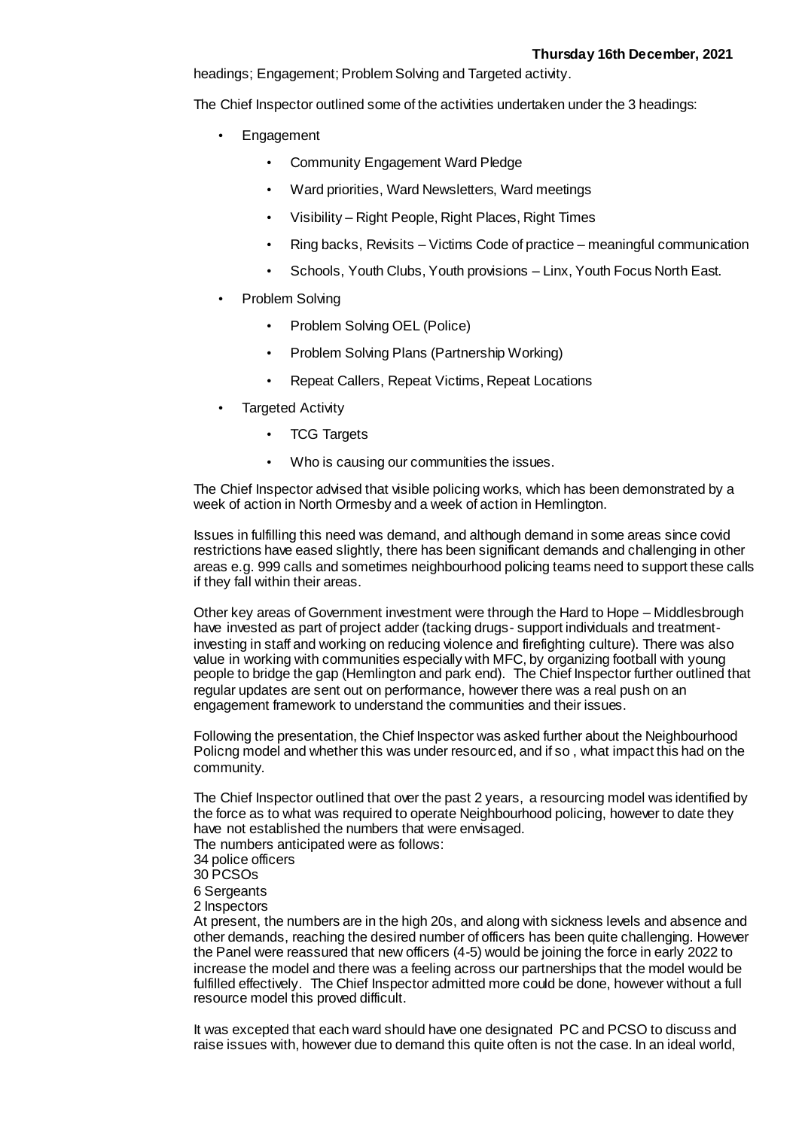headings; Engagement; Problem Solving and Targeted activity.

The Chief Inspector outlined some of the activities undertaken under the 3 headings:

- **Engagement** 
	- Community Engagement Ward Pledge
	- Ward priorities, Ward Newsletters, Ward meetings
	- Visibility Right People, Right Places, Right Times
	- Ring backs, Revisits Victims Code of practice meaningful communication
	- Schools, Youth Clubs, Youth provisions Linx, Youth Focus North East.
- Problem Solving
	- Problem Solving OEL (Police)
	- Problem Solving Plans (Partnership Working)
	- Repeat Callers, Repeat Victims, Repeat Locations
- **Targeted Activity** 
	- **TCG Targets**
	- Who is causing our communities the issues.

The Chief Inspector advised that visible policing works, which has been demonstrated by a week of action in North Ormesby and a week of action in Hemlington.

Issues in fulfilling this need was demand, and although demand in some areas since covid restrictions have eased slightly, there has been significant demands and challenging in other areas e.g. 999 calls and sometimes neighbourhood policing teams need to support these calls if they fall within their areas.

Other key areas of Government investment were through the Hard to Hope – Middlesbrough have invested as part of project adder (tacking drugs- support individuals and treatmentinvesting in staff and working on reducing violence and firefighting culture). There was also value in working with communities especially with MFC, by organizing football with young people to bridge the gap (Hemlington and park end). The Chief Inspector further outlined that regular updates are sent out on performance, however there was a real push on an engagement framework to understand the communities and their issues.

Following the presentation, the Chief Inspector was asked further about the Neighbourhood Policng model and whether this was under resourced, and if so , what impact this had on the community.

The Chief Inspector outlined that over the past 2 years, a resourcing model was identified by the force as to what was required to operate Neighbourhood policing, however to date they have not established the numbers that were envisaged.

The numbers anticipated were as follows:

- 34 police officers
- 30 PCSOs
- 6 Sergeants
- 2 Inspectors

At present, the numbers are in the high 20s, and along with sickness levels and absence and other demands, reaching the desired number of officers has been quite challenging. However the Panel were reassured that new officers (4-5) would be joining the force in early 2022 to increase the model and there was a feeling across our partnerships that the model would be fulfilled effectively. The Chief Inspector admitted more could be done, however without a full resource model this proved difficult.

It was excepted that each ward should have one designated PC and PCSO to discuss and raise issues with, however due to demand this quite often is not the case. In an ideal world,